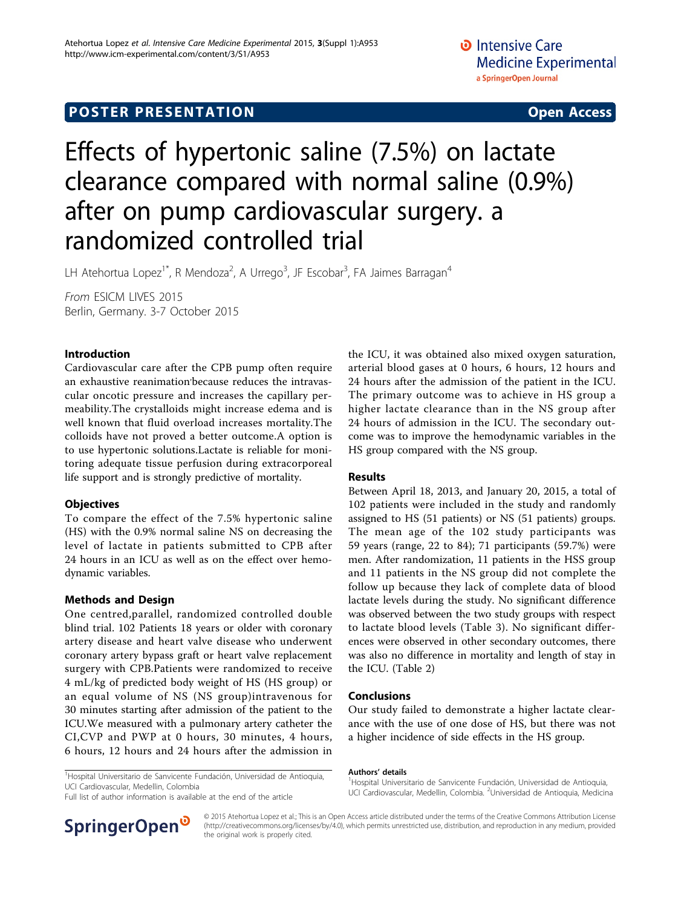## **POSTER PRESENTATION CONSUMING THE SERVICE SERVICE SERVICES**

# Effects of hypertonic saline (7.5%) on lactate clearance compared with normal saline (0.9%) after on pump cardiovascular surgery. a randomized controlled trial

LH Atehortua Lopez<sup>1\*</sup>, R Mendoza<sup>2</sup>, A Urrego<sup>3</sup>, JF Escobar<sup>3</sup>, FA Jaimes Barragan<sup>4</sup>

From ESICM LIVES 2015 Berlin, Germany. 3-7 October 2015

#### Introduction

Cardiovascular care after the CPB pump often require an exhaustive reanimation'because reduces the intravascular oncotic pressure and increases the capillary permeability.The crystalloids might increase edema and is well known that fluid overload increases mortality.The colloids have not proved a better outcome.A option is to use hypertonic solutions.Lactate is reliable for monitoring adequate tissue perfusion during extracorporeal life support and is strongly predictive of mortality.

#### **Objectives**

To compare the effect of the 7.5% hypertonic saline (HS) with the 0.9% normal saline NS on decreasing the level of lactate in patients submitted to CPB after 24 hours in an ICU as well as on the effect over hemodynamic variables.

#### Methods and Design

One centred,parallel, randomized controlled double blind trial. 102 Patients 18 years or older with coronary artery disease and heart valve disease who underwent coronary artery bypass graft or heart valve replacement surgery with CPB.Patients were randomized to receive 4 mL/kg of predicted body weight of HS (HS group) or an equal volume of NS (NS group)intravenous for 30 minutes starting after admission of the patient to the ICU.We measured with a pulmonary artery catheter the CI,CVP and PWP at 0 hours, 30 minutes, 4 hours, 6 hours, 12 hours and 24 hours after the admission in

the ICU, it was obtained also mixed oxygen saturation, arterial blood gases at 0 hours, 6 hours, 12 hours and 24 hours after the admission of the patient in the ICU. The primary outcome was to achieve in HS group a higher lactate clearance than in the NS group after 24 hours of admission in the ICU. The secondary outcome was to improve the hemodynamic variables in the HS group compared with the NS group.

#### Results

Between April 18, 2013, and January 20, 2015, a total of 102 patients were included in the study and randomly assigned to HS (51 patients) or NS (51 patients) groups. The mean age of the 102 study participants was 59 years (range, 22 to 84); 71 participants (59.7%) were men. After randomization, 11 patients in the HSS group and 11 patients in the NS group did not complete the follow up because they lack of complete data of blood lactate levels during the study. No significant difference was observed between the two study groups with respect to lactate blood levels (Table 3). No significant differences were observed in other secondary outcomes, there was also no difference in mortality and length of stay in the ICU. (Table 2)

#### Conclusions

Authors' details <sup>1</sup>

Our study failed to demonstrate a higher lactate clearance with the use of one dose of HS, but there was not a higher incidence of side effects in the HS group.

<sup>1</sup>Hospital Universitario de Sanvicente Fundación, Universidad de Antioquia,

<sup>1</sup>Hospital Universitario de Sanvicente Fundación, Universidad de Antioquia, UCI Cardiovascular, Medellin, Colombia

Full list of author information is available at the end of the article



UCI Cardiovascular, Medellin, Colombia. <sup>2</sup>Universidad de Antioquia, Medicina

© 2015 Atehortua Lopez et al.; This is an Open Access article distributed under the terms of the Creative Commons Attribution License [\(http://creativecommons.org/licenses/by/4.0](http://creativecommons.org/licenses/by/4.0)), which permits unrestricted use, distribution, and reproduction in any medium, provided the original work is properly cited.